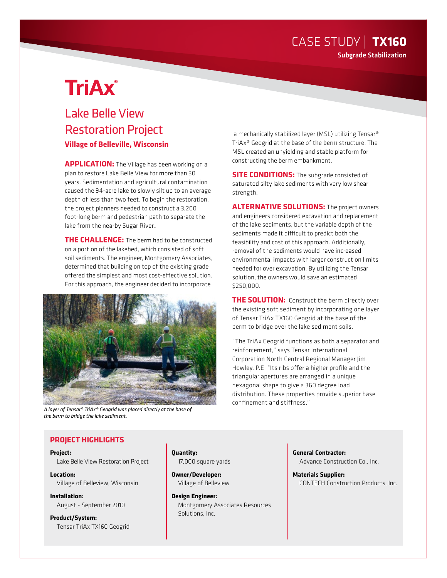### CASE STUDY | **TX160** Subgrade Stabilization

# **TriAx**®

## Lake Belle View Restoration Project **Village of Belleville, Wisconsin**

**APPLICATION:** The Village has been working on a plan to restore Lake Belle View for more than 30 years. Sedimentation and agricultural contamination caused the 94-acre lake to slowly silt up to an average depth of less than two feet. To begin the restoration, the project planners needed to construct a 3,200 foot-long berm and pedestrian path to separate the lake from the nearby Sugar River..

**THE CHALLENGE:** The berm had to be constructed on a portion of the lakebed, which consisted of soft soil sediments. The engineer, Montgomery Associates, determined that building on top of the existing grade offered the simplest and most cost-effective solution. For this approach, the engineer decided to incorporate



*A layer of Tensar® TriAx® Geogrid was placed directly at the base of the berm to bridge the lake sediment.*

 a mechanically stabilized layer (MSL) utilizing Tensar® TriAx® Geogrid at the base of the berm structure. The MSL created an unyielding and stable platform for constructing the berm embankment.

**SITE CONDITIONS:** The subgrade consisted of saturated silty lake sediments with very low shear strength.

**ALTERNATIVE SOLUTIONS:** The project owners and engineers considered excavation and replacement of the lake sediments, but the variable depth of the sediments made it difficult to predict both the feasibility and cost of this approach. Additionally, removal of the sediments would have increased environmental impacts with larger construction limits needed for over excavation. By utilizing the Tensar solution, the owners would save an estimated \$250,000.

**THE SOLUTION:** Construct the berm directly over the existing soft sediment by incorporating one layer of Tensar TriAx TX160 Geogrid at the base of the berm to bridge over the lake sediment soils.

"The TriAx Geogrid functions as both a separator and reinforcement," says Tensar International Corporation North Central Regional Manager Jim Howley, P.E. "Its ribs offer a higher profile and the triangular apertures are arranged in a unique hexagonal shape to give a 360 degree load distribution. These properties provide superior base confinement and stiffness."

#### **PROJECT HIGHLIGHTS**

#### **Project:**

Lake Belle View Restoration Project

**Location:** Village of Belleview, Wisconsin

**Installation:** August - September 2010

**Product/System:** Tensar TriAx TX160 Geogrid **Quantity:** 17,000 square yards

**Owner/Developer:** Village of Belleview

**Design Engineer:** Montgomery Associates Resources Solutions, Inc.

**General Contractor:** Advance Construction Co., Inc.

**Materials Supplier:** CONTECH Construction Products, Inc.